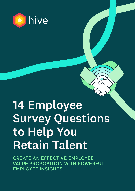

# 14 Employee Survey Questions to Help You Retain Talent

CREATE AN EFFECTIVE EMPLOYEE VALUE PROPOSITION WITH POWERFUL EMPLOYEE INSIGHTS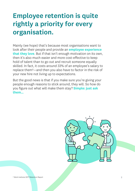### Employee retention is quite rightly a priority for every organisation.

Mainly (we hope) that's because most organisations want to look after their people and provide an employee experience that they love. But if that isn't enough motivation on its own, then it's also much easier and more cost-effective to keep hold of talent than to go out and recruit someone equally skilled. In fact, it costs around 33% of an employee's salary to replace them<sup>1</sup>—and then you also have to factor in the risk of your new hire not living up to expectations.

But the good news is that if you make sure you're giving your people enough reasons to stick around, they will. So how do you figure out what will make them stay? **Simple: just ask** them…

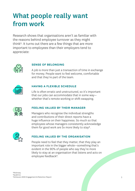### What people really want from work

Research shows that organisations aren't as familiar with the reasons behind employee turnover as they might think<sup>1</sup>. It turns out there are a few things that are more important to employees than their employers tend to appreciate:



#### **SENSE OF BELONGING**

A job is more than just a transaction of time in exchange for money. People want to feel welcome, comfortable and that they're part of the team.



#### **HAVING A FLEXIBLE SCHEDULE**

Life is often erratic and unstructured, so it's important that our jobs can accommodate that in some way whether that's remote working or shift-swapping.



#### **FEELING VALUED BY THEIR MANAGER**

Managers who recognise the individual strengths and contributions of their direct reports have a huge influence on their happiness. So much so that employees whose managers consistently acknowledge them for good work are 5x more likely to stay².



#### **FEELING VALUED BY THE ORGANISATION**

People need to feel that they matter, that they play an important role in the bigger whole—something that's evident in the 90% of people who say they're more likely to stay at an organisation that listens and acts on employee feedback<sup>3</sup>.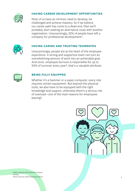

#### **HAVING CAREER DEVELOPMENT OPPORTUNITIES**

Most of us have an intrinsic need to develop, be challenged and achieve mastery. So if we believe our career path has come to a dead end, then we'll probably start seeking an alternative route with another organisation. Unsurprisingly, 22% of people have left a company for professional development<sup>1</sup>.



#### **HAVING CARING AND TRUSTING TEAMMATES**

Unsurprisingly, people are at the heart of the employee experience. A strong and supportive team can turn an overwhelming amount of work into an achievable goal. And since employee burnout is responsible for up to 50% of turnover every year², that's a valuable attribute.



#### **BEING FULLY EQUIPPED**

Whether it's a hammer or a super-computer, every role requires certain equipment. But beyond the physical tools, we also have to be equipped with the right knowledge and support, otherwise there's a serious risk of overload—one of the main reasons for employees leaving<sup>3</sup>.



<sup>1</sup>Work Institute 2019 Retention Report ²Forbes ³Work Institute 2020 Retention Report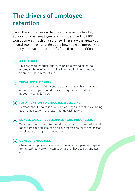### The drivers of employee retention

Given the six themes on the previous page, the five key actions to boost employee retention identified by CIPD won't come as much of a surprise. These are the areas you should zoom in on to understand how you can improve your employee value proposition (EVP) and reduce attrition.

#### 1 **BE FLEXIBLE**

This one requires trust, but try to be understanding of the unpredictability of your people's lives and look for solutions to any conflicts in their time.

#### 2 **TREAT PEOPLE FAIRLY**

No matter how confident you are that everyone has the same opportunities, you should check in frequently to make sure nobody is being left out.

#### 3 **PAY ATTENTION TO EMPLOYEE WELLBEING**

Be vocal about how much you care about your people's wellbeing as an organisation—and back that up with action.

#### 4 **ENABLE CAREER DEVELOPMENT AND PROGRESSION**

Take the time to look into the skills within your organisation and make sure each stream has a clear progression route and access to relevant development resources.

#### 5 **CONSULT EMPLOYEES**

Champion employee voice by encouraging your people to speak up regularly and often, listen to what they have to say, and act on it.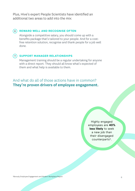Plus, Hive's expert People Scientists have identified an additional two areas to add into the mix:

#### 6 **REWARD WELL AND RECOGNISE OFTEN**

Alongside a competitive salary, you should come up with a benefits package that's tailored to your people. And for a costfree retention solution, recognise and thank people for a job well done.

#### 7 **SUPPORT MANAGER RELATIONSHIPS**

Management training should be a regular undertaking for anyone with a direct report. They should all know what's expected of them and what help is available to them.

And what do all of those actions have in common? They're proven drivers of employee engagement.

> Highly engaged employees are **40% less likely** to seek a new job than their disengaged counterparts<sup>1</sup>.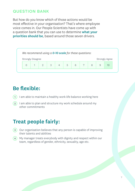#### **QUESTION BANK**

But how do you know which of those actions would be most effective in your organisation? That's where employee voice comes in. Our People Scientists have come up with a question bank that you can use to determine what your priorities should be, based around those seven drivers.



### Be flexible:

- $(1)$  I am able to maintain a healthy work-life balance working here
- 2) I am able to plan and structure my work schedule around my other commitments

### Treat people fairly:

- 3) Our organisation believes that any person is capable of improving their talents and abilities
- 4) My manager treats everybody with dignity and respect within our team, regardless of gender, ethnicity, sexuality, age etc.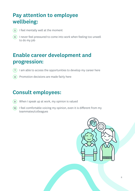### Pay attention to employee wellbeing:

- 5 I feel mentally well at the moment
- 6) I never feel pressured to come into work when feeling too unwell to do my job

### Enable career development and progression:

- $(7)$  I am able to access the opportunities to develop my career here
- (8) Promotion decisions are made fairly here

### Consult employees:

- 9 When I speak up at work, my opinion is valued
- 10) I feel comfortable voicing my opinion, even it is different from my teammates/colleagues

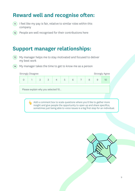### Reward well and recognise often:

- $11)$  I feel like my pay is fair, relative to similar roles within this company
- 12 People are well recognised for their contributions here

### Support manager relationships:

- My manager helps me to stay motivated and focused to deliver my best work  $(13)$
- 14 My manager takes the time to get to know me as a person

```
Strongly Disagree Strongly Agree
```

| 1 2 3 4 5 6 7 8 9 10 |  |  |  |  |  |
|----------------------|--|--|--|--|--|
|                      |  |  |  |  |  |

Please explain why you selected 10...

Add a comment box to scale questions where you'd like to gather more insight and give people the opportunity to open up and share specifics; sometimes just being able to voice issues is a big first step for an individual.

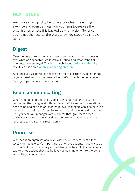#### **NEXT STEPS**

Any survey can quickly become a pointless measuring exercise and even damage how your employees see the organisation unless it is backed up with action. So, once you've got the results, there are a few key steps you should take:

### Digest

Take the time to reflect on your results and have an open discussion over what was expected, what was a surprise, and what trends or hotspots have emerged. This is as much about **understanding** the results as it is about **openly reflecting on them**.

And once you've identified those areas for focus, then try to get more targeted feedback on them—whether that's through themed surveys, focus groups or some other channel.

### Keep communicating

When reflecting on the results, decide who has responsibility for continuing the dialogue at different levels. While some conversations need to be had at a senior leadership level, managers can also be given ownership of their team's results to help in their own local discussions. So if you feel your managers are ready for that, give them access to their team's results in your Hive; don't worry, that access will be restricted to their team's results only.

### **Prioritise**

Whether at an organisational level with senior leaders, or at a local level with managers, it's important to prioritise actions. If you try to do too much at once, the reality is it will likely fail to stick. Instead choose two to three actions that you believe you can implement to the point where they become the norm.